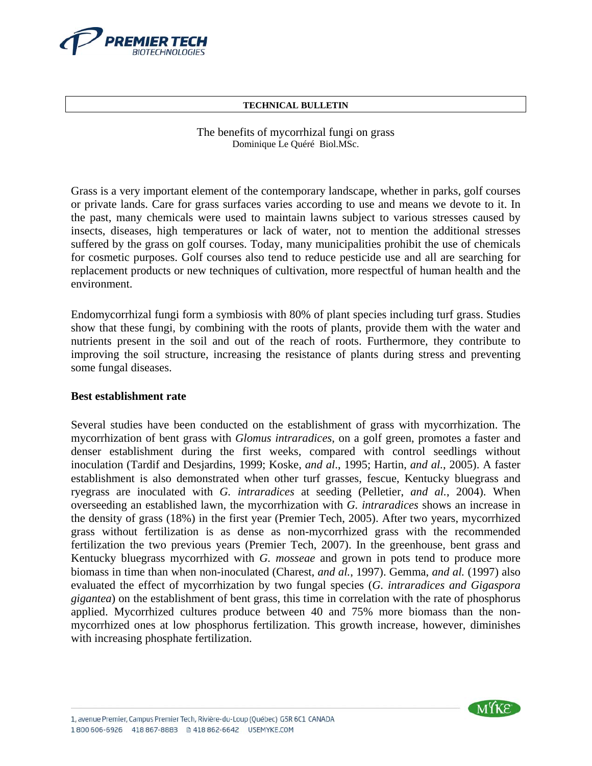

#### **TECHNICAL BULLETIN**

### The benefits of mycorrhizal fungi on grass Dominique Le Quéré Biol.MSc.

Grass is a very important element of the contemporary landscape, whether in parks, golf courses or private lands. Care for grass surfaces varies according to use and means we devote to it. In the past, many chemicals were used to maintain lawns subject to various stresses caused by insects, diseases, high temperatures or lack of water, not to mention the additional stresses suffered by the grass on golf courses. Today, many municipalities prohibit the use of chemicals for cosmetic purposes. Golf courses also tend to reduce pesticide use and all are searching for replacement products or new techniques of cultivation, more respectful of human health and the environment.

Endomycorrhizal fungi form a symbiosis with 80% of plant species including turf grass. Studies show that these fungi, by combining with the roots of plants, provide them with the water and nutrients present in the soil and out of the reach of roots. Furthermore, they contribute to improving the soil structure, increasing the resistance of plants during stress and preventing some fungal diseases.

## **Best establishment rate**

Several studies have been conducted on the establishment of grass with mycorrhization. The mycorrhization of bent grass with *Glomus intraradices*, on a golf green, promotes a faster and denser establishment during the first weeks, compared with control seedlings without inoculation (Tardif and Desjardins, 1999; Koske, *and al*., 1995; Hartin, *and al.*, 2005). A faster establishment is also demonstrated when other turf grasses, fescue, Kentucky bluegrass and ryegrass are inoculated with *G. intraradices* at seeding (Pelletier, *and al.*, 2004). When overseeding an established lawn, the mycorrhization with *G. intraradices* shows an increase in the density of grass (18%) in the first year (Premier Tech, 2005). After two years, mycorrhized grass without fertilization is as dense as non-mycorrhized grass with the recommended fertilization the two previous years (Premier Tech, 2007). In the greenhouse, bent grass and Kentucky bluegrass mycorrhized with *G. mosseae* and grown in pots tend to produce more biomass in time than when non-inoculated (Charest, *and al.*, 1997). Gemma, *and al.* (1997) also evaluated the effect of mycorrhization by two fungal species (*G. intraradices and Gigaspora gigantea*) on the establishment of bent grass, this time in correlation with the rate of phosphorus applied. Mycorrhized cultures produce between 40 and 75% more biomass than the nonmycorrhized ones at low phosphorus fertilization. This growth increase, however, diminishes with increasing phosphate fertilization.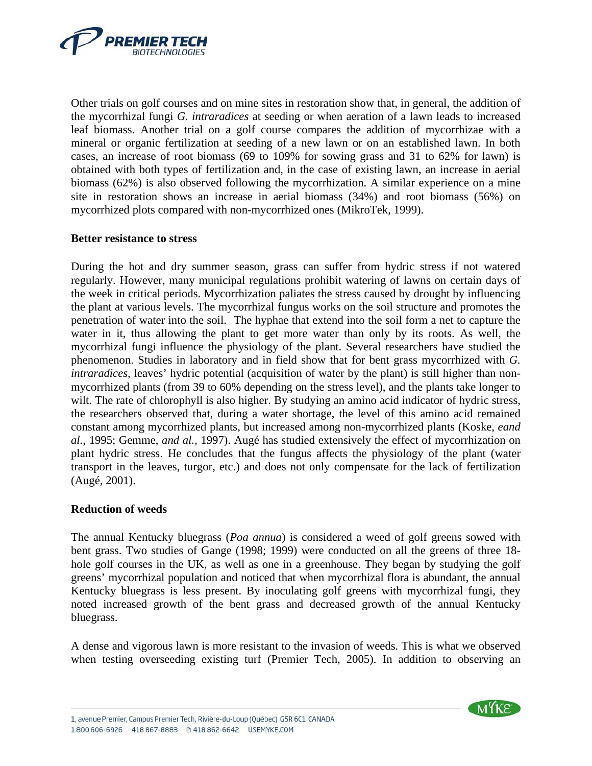

Other trials on golf courses and on mine sites in restoration show that, in general, the addition of the mycorrhizal fungi *G. intraradices* at seeding or when aeration of a lawn leads to increased leaf biomass. Another trial on a golf course compares the addition of mycorrhizae with a mineral or organic fertilization at seeding of a new lawn or on an established lawn. In both cases, an increase of root biomass (69 to 109% for sowing grass and 31 to 62% for lawn) is obtained with both types of fertilization and, in the case of existing lawn, an increase in aerial biomass (62%) is also observed following the mycorrhization. A similar experience on a mine site in restoration shows an increase in aerial biomass (34%) and root biomass (56%) on mycorrhized plots compared with non-mycorrhized ones (MikroTek, 1999).

### **Better resistance to stress**

During the hot and dry summer season, grass can suffer from hydric stress if not watered regularly. However, many municipal regulations prohibit watering of lawns on certain days of the week in critical periods. Mycorrhization paliates the stress caused by drought by influencing the plant at various levels. The mycorrhizal fungus works on the soil structure and promotes the penetration of water into the soil. The hyphae that extend into the soil form a net to capture the water in it, thus allowing the plant to get more water than only by its roots. As well, the mycorrhizal fungi influence the physiology of the plant. Several researchers have studied the phenomenon. Studies in laboratory and in field show that for bent grass mycorrhized with *G. intraradices,* leaves' hydric potential (acquisition of water by the plant) is still higher than nonmycorrhized plants (from 39 to 60% depending on the stress level), and the plants take longer to wilt. The rate of chlorophyll is also higher. By studying an amino acid indicator of hydric stress, the researchers observed that, during a water shortage, the level of this amino acid remained constant among mycorrhized plants, but increased among non-mycorrhized plants (Koske, *eand al.,* 1995; Gemme, *and al.,* 1997). Augé has studied extensively the effect of mycorrhization on plant hydric stress. He concludes that the fungus affects the physiology of the plant (water transport in the leaves, turgor, etc.) and does not only compensate for the lack of fertilization (Augé, 2001).

## **Reduction of weeds**

The annual Kentucky bluegrass (*Poa annua*) is considered a weed of golf greens sowed with bent grass. Two studies of Gange (1998; 1999) were conducted on all the greens of three 18 hole golf courses in the UK, as well as one in a greenhouse. They began by studying the golf greens' mycorrhizal population and noticed that when mycorrhizal flora is abundant, the annual Kentucky bluegrass is less present. By inoculating golf greens with mycorrhizal fungi, they noted increased growth of the bent grass and decreased growth of the annual Kentucky bluegrass.

A dense and vigorous lawn is more resistant to the invasion of weeds. This is what we observed when testing overseeding existing turf (Premier Tech, 2005). In addition to observing an

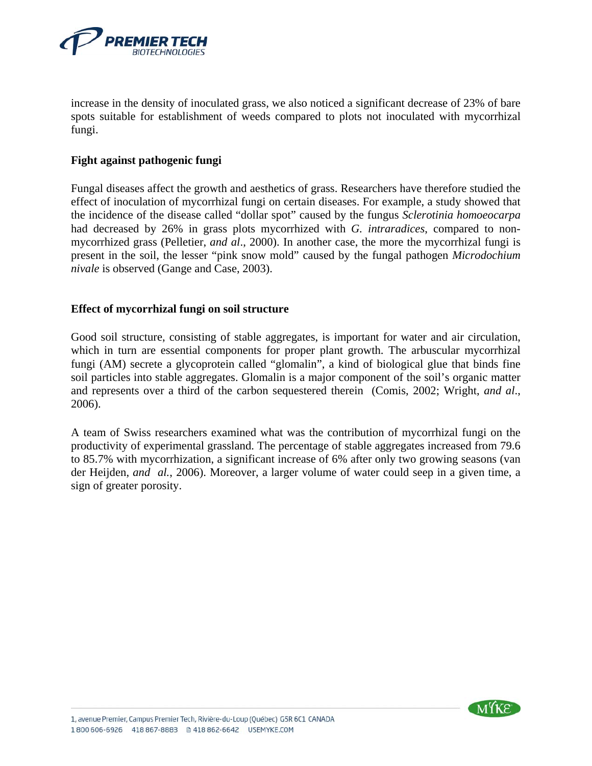

increase in the density of inoculated grass, we also noticed a significant decrease of 23% of bare spots suitable for establishment of weeds compared to plots not inoculated with mycorrhizal fungi.

# **Fight against pathogenic fungi**

Fungal diseases affect the growth and aesthetics of grass. Researchers have therefore studied the effect of inoculation of mycorrhizal fungi on certain diseases. For example, a study showed that the incidence of the disease called "dollar spot" caused by the fungus *Sclerotinia homoeocarpa* had decreased by 26% in grass plots mycorrhized with *G. intraradices*, compared to nonmycorrhized grass (Pelletier, *and al*., 2000). In another case, the more the mycorrhizal fungi is present in the soil, the lesser "pink snow mold" caused by the fungal pathogen *Microdochium nivale* is observed (Gange and Case, 2003).

# **Effect of mycorrhizal fungi on soil structure**

Good soil structure, consisting of stable aggregates, is important for water and air circulation, which in turn are essential components for proper plant growth. The arbuscular mycorrhizal fungi (AM) secrete a glycoprotein called "glomalin", a kind of biological glue that binds fine soil particles into stable aggregates. Glomalin is a major component of the soil's organic matter and represents over a third of the carbon sequestered therein (Comis, 2002; Wright, *and al*., 2006).

A team of Swiss researchers examined what was the contribution of mycorrhizal fungi on the productivity of experimental grassland. The percentage of stable aggregates increased from 79.6 to 85.7% with mycorrhization, a significant increase of 6% after only two growing seasons (van der Heijden, *and al.*, 2006). Moreover, a larger volume of water could seep in a given time, a sign of greater porosity.

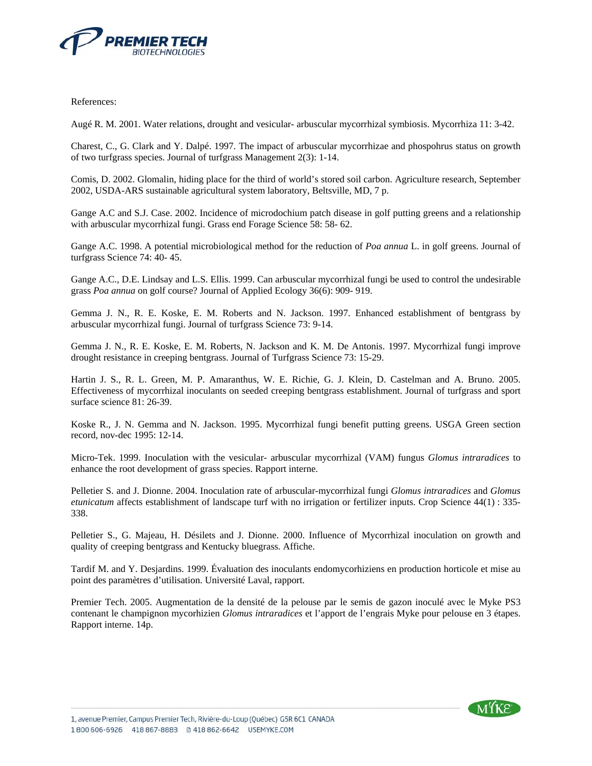

References:

Augé R. M. 2001. Water relations, drought and vesicular- arbuscular mycorrhizal symbiosis. Mycorrhiza 11: 3-42.

Charest, C., G. Clark and Y. Dalpé. 1997. The impact of arbuscular mycorrhizae and phospohrus status on growth of two turfgrass species. Journal of turfgrass Management 2(3): 1-14.

Comis, D. 2002. Glomalin, hiding place for the third of world's stored soil carbon. Agriculture research, September 2002, USDA-ARS sustainable agricultural system laboratory, Beltsville, MD, 7 p.

Gange A.C and S.J. Case. 2002. Incidence of microdochium patch disease in golf putting greens and a relationship with arbuscular mycorrhizal fungi. Grass end Forage Science 58: 58- 62.

Gange A.C. 1998. A potential microbiological method for the reduction of *Poa annua* L. in golf greens. Journal of turfgrass Science 74: 40- 45.

Gange A.C., D.E. Lindsay and L.S. Ellis. 1999. Can arbuscular mycorrhizal fungi be used to control the undesirable grass *Poa annua* on golf course? Journal of Applied Ecology 36(6): 909- 919.

Gemma J. N., R. E. Koske, E. M. Roberts and N. Jackson. 1997. Enhanced establishment of bentgrass by arbuscular mycorrhizal fungi. Journal of turfgrass Science 73: 9-14.

Gemma J. N., R. E. Koske, E. M. Roberts, N. Jackson and K. M. De Antonis. 1997. Mycorrhizal fungi improve drought resistance in creeping bentgrass. Journal of Turfgrass Science 73: 15-29.

Hartin J. S., R. L. Green, M. P. Amaranthus, W. E. Richie, G. J. Klein, D. Castelman and A. Bruno. 2005. Effectiveness of mycorrhizal inoculants on seeded creeping bentgrass establishment. Journal of turfgrass and sport surface science 81: 26-39.

Koske R., J. N. Gemma and N. Jackson. 1995. Mycorrhizal fungi benefit putting greens. USGA Green section record, nov-dec 1995: 12-14.

Micro-Tek. 1999. Inoculation with the vesicular- arbuscular mycorrhizal (VAM) fungus *Glomus intraradices* to enhance the root development of grass species. Rapport interne.

Pelletier S. and J. Dionne. 2004. Inoculation rate of arbuscular-mycorrhizal fungi *Glomus intraradices* and *Glomus etunicatum* affects establishment of landscape turf with no irrigation or fertilizer inputs. Crop Science 44(1) : 335- 338.

Pelletier S., G. Majeau, H. Désilets and J. Dionne. 2000. Influence of Mycorrhizal inoculation on growth and quality of creeping bentgrass and Kentucky bluegrass. Affiche.

Tardif M. and Y. Desjardins. 1999. Évaluation des inoculants endomycorhiziens en production horticole et mise au point des paramètres d'utilisation. Université Laval, rapport.

Premier Tech. 2005. Augmentation de la densité de la pelouse par le semis de gazon inoculé avec le Myke PS3 contenant le champignon mycorhizien *Glomus intraradices* et l'apport de l'engrais Myke pour pelouse en 3 étapes. Rapport interne. 14p.